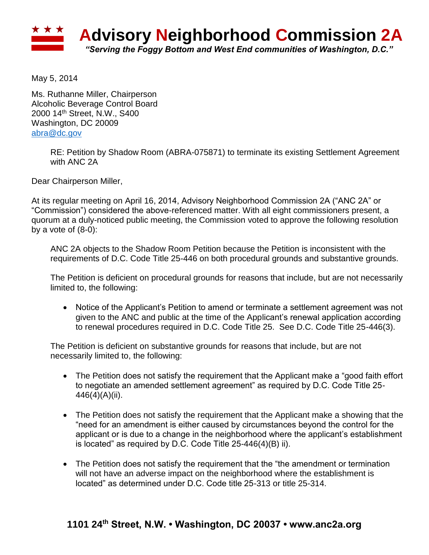

May 5, 2014

Ms. Ruthanne Miller, Chairperson Alcoholic Beverage Control Board 2000 14th Street, N.W., S400 Washington, DC 20009 [abra@dc.gov](mailto:abra@dc.gov)

> RE: Petition by Shadow Room (ABRA-075871) to terminate its existing Settlement Agreement with ANC 2A

Dear Chairperson Miller,

At its regular meeting on April 16, 2014, Advisory Neighborhood Commission 2A ("ANC 2A" or "Commission") considered the above-referenced matter. With all eight commissioners present, a quorum at a duly-noticed public meeting, the Commission voted to approve the following resolution by a vote of  $(8-0)$ :

ANC 2A objects to the Shadow Room Petition because the Petition is inconsistent with the requirements of D.C. Code Title 25-446 on both procedural grounds and substantive grounds.

The Petition is deficient on procedural grounds for reasons that include, but are not necessarily limited to, the following:

 Notice of the Applicant's Petition to amend or terminate a settlement agreement was not given to the ANC and public at the time of the Applicant's renewal application according to renewal procedures required in D.C. Code Title 25. See D.C. Code Title 25-446(3).

The Petition is deficient on substantive grounds for reasons that include, but are not necessarily limited to, the following:

- The Petition does not satisfy the requirement that the Applicant make a "good faith effort to negotiate an amended settlement agreement" as required by D.C. Code Title 25- 446(4)(A)(ii).
- The Petition does not satisfy the requirement that the Applicant make a showing that the "need for an amendment is either caused by circumstances beyond the control for the applicant or is due to a change in the neighborhood where the applicant's establishment is located" as required by D.C. Code Title 25-446(4)(B) ii).
- The Petition does not satisfy the requirement that the "the amendment or termination will not have an adverse impact on the neighborhood where the establishment is located" as determined under D.C. Code title 25-313 or title 25-314.